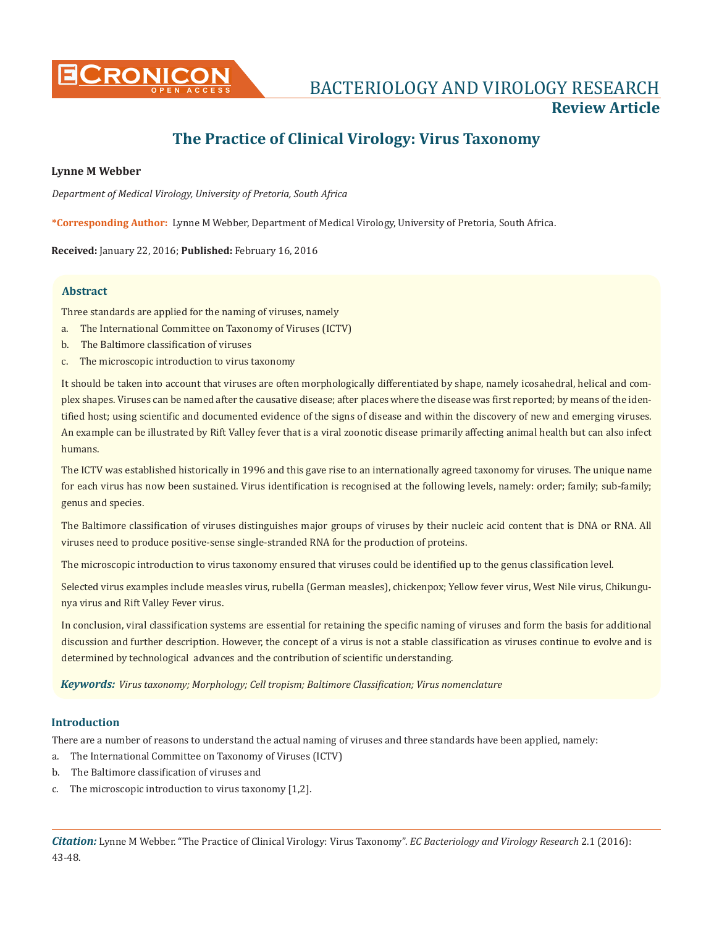

# **The Practice of Clinical Virology: Virus Taxonomy**

# **Lynne M Webber**

*Department of Medical Virology, University of Pretoria, South Africa*

**\*Corresponding Author:** Lynne M Webber, Department of Medical Virology, University of Pretoria, South Africa.

**Received:** January 22, 2016; **Published:** February 16, 2016

# **Abstract**

Three standards are applied for the naming of viruses, namely

- a. The International Committee on Taxonomy of Viruses (ICTV)
- b. The Baltimore classification of viruses
- c. The microscopic introduction to virus taxonomy

It should be taken into account that viruses are often morphologically differentiated by shape, namely icosahedral, helical and complex shapes. Viruses can be named after the causative disease; after places where the disease was first reported; by means of the identified host; using scientific and documented evidence of the signs of disease and within the discovery of new and emerging viruses. An example can be illustrated by Rift Valley fever that is a viral zoonotic disease primarily affecting animal health but can also infect humans.

The ICTV was established historically in 1996 and this gave rise to an internationally agreed taxonomy for viruses. The unique name for each virus has now been sustained. Virus identification is recognised at the following levels, namely: order; family; sub-family; genus and species.

The Baltimore classification of viruses distinguishes major groups of viruses by their nucleic acid content that is DNA or RNA. All viruses need to produce positive-sense single-stranded RNA for the production of proteins.

The microscopic introduction to virus taxonomy ensured that viruses could be identified up to the genus classification level.

Selected virus examples include measles virus, rubella (German measles), chickenpox; Yellow fever virus, West Nile virus, Chikungunya virus and Rift Valley Fever virus.

In conclusion, viral classification systems are essential for retaining the specific naming of viruses and form the basis for additional discussion and further description. However, the concept of a virus is not a stable classification as viruses continue to evolve and is determined by technological advances and the contribution of scientific understanding.

*Keywords: Virus taxonomy; Morphology; Cell tropism; Baltimore Classification; Virus nomenclature*

# **Introduction**

There are a number of reasons to understand the actual naming of viruses and three standards have been applied, namely:

- a. The International Committee on Taxonomy of Viruses (ICTV)
- b. The Baltimore classification of viruses and
- c. The microscopic introduction to virus taxonomy [1,2].

*Citation:* Lynne M Webber. "The Practice of Clinical Virology: Virus Taxonomy". *EC Bacteriology and Virology Research* 2.1 (2016): 43-48.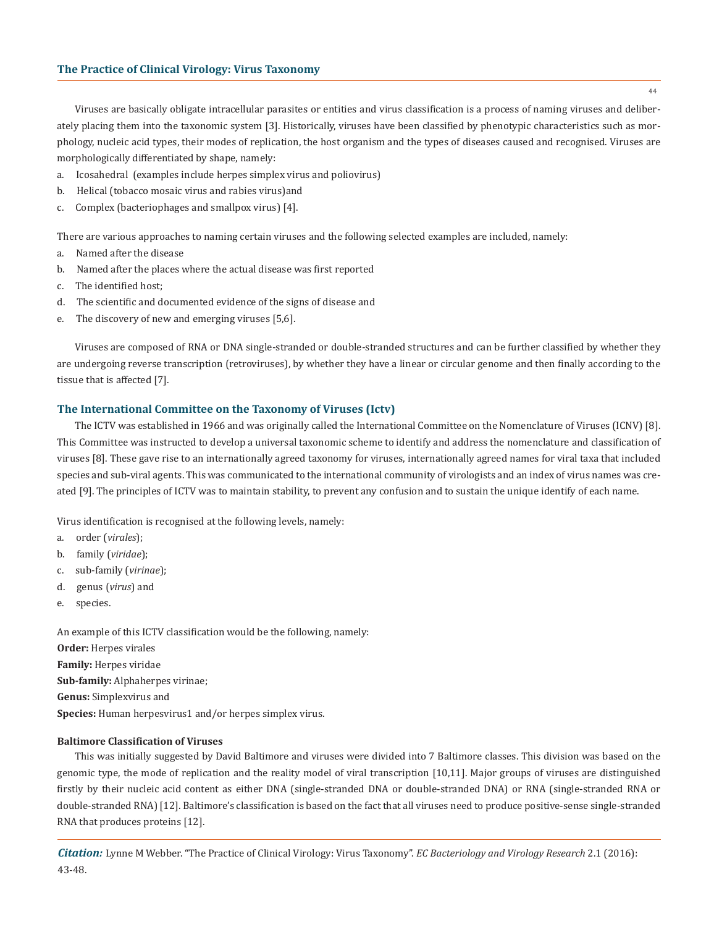Viruses are basically obligate intracellular parasites or entities and virus classification is a process of naming viruses and deliberately placing them into the taxonomic system [3]. Historically, viruses have been classified by phenotypic characteristics such as morphology, nucleic acid types, their modes of replication, the host organism and the types of diseases caused and recognised. Viruses are morphologically differentiated by shape, namely:

- a. Icosahedral (examples include herpes simplex virus and poliovirus)
- b. Helical (tobacco mosaic virus and rabies virus)and
- c. Complex (bacteriophages and smallpox virus) [4].

There are various approaches to naming certain viruses and the following selected examples are included, namely:

- a. Named after the disease
- b. Named after the places where the actual disease was first reported
- c. The identified host;
- d. The scientific and documented evidence of the signs of disease and
- e. The discovery of new and emerging viruses [5,6].

Viruses are composed of RNA or DNA single-stranded or double-stranded structures and can be further classified by whether they are undergoing reverse transcription (retroviruses), by whether they have a linear or circular genome and then finally according to the tissue that is affected [7].

# **The International Committee on the Taxonomy of Viruses (Ictv)**

The ICTV was established in 1966 and was originally called the International Committee on the Nomenclature of Viruses (ICNV) [8]. This Committee was instructed to develop a universal taxonomic scheme to identify and address the nomenclature and classification of viruses [8]. These gave rise to an internationally agreed taxonomy for viruses, internationally agreed names for viral taxa that included species and sub-viral agents. This was communicated to the international community of virologists and an index of virus names was created [9]. The principles of ICTV was to maintain stability, to prevent any confusion and to sustain the unique identify of each name.

Virus identification is recognised at the following levels, namely:

- a. order (*virales*);
- b. family (*viridae*);
- c. sub-family (*virinae*);
- d. genus (*virus*) and
- e. species.

An example of this ICTV classification would be the following, namely: **Order:** Herpes virales **Family:** Herpes viridae **Sub-family:** Alphaherpes virinae; **Genus:** Simplexvirus and

**Species:** Human herpesvirus1 and/or herpes simplex virus.

# **Baltimore Classification of Viruses**

This was initially suggested by David Baltimore and viruses were divided into 7 Baltimore classes. This division was based on the genomic type, the mode of replication and the reality model of viral transcription [10,11]. Major groups of viruses are distinguished firstly by their nucleic acid content as either DNA (single-stranded DNA or double-stranded DNA) or RNA (single-stranded RNA or double-stranded RNA) [12]. Baltimore's classification is based on the fact that all viruses need to produce positive-sense single-stranded RNA that produces proteins [12].

*Citation:* Lynne M Webber. "The Practice of Clinical Virology: Virus Taxonomy". *EC Bacteriology and Virology Research* 2.1 (2016): 43-48.

44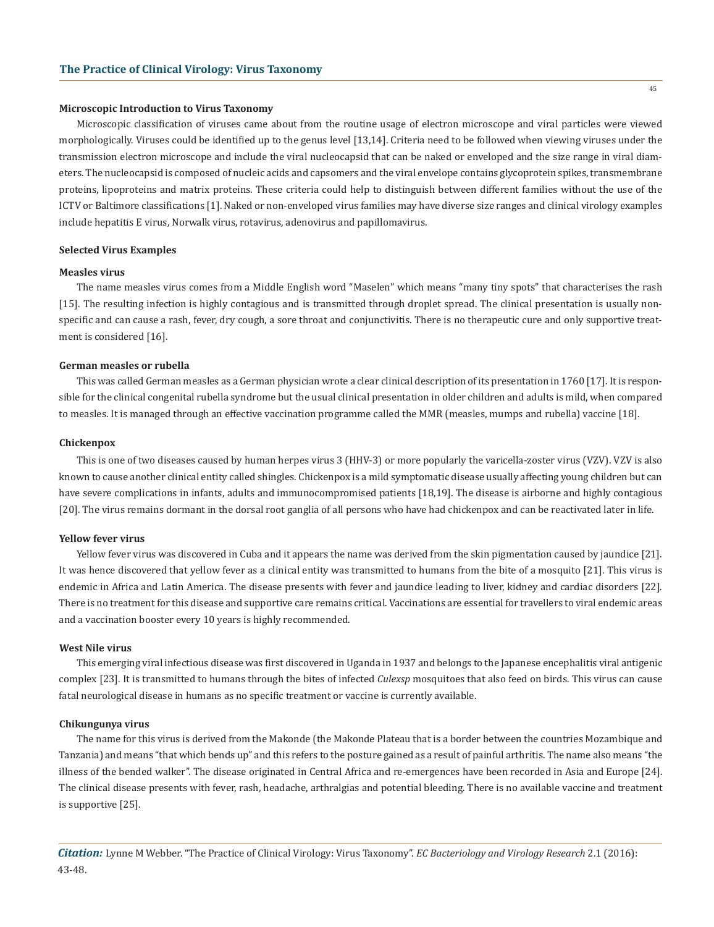#### **Microscopic Introduction to Virus Taxonomy**

Microscopic classification of viruses came about from the routine usage of electron microscope and viral particles were viewed morphologically. Viruses could be identified up to the genus level [13,14]. Criteria need to be followed when viewing viruses under the transmission electron microscope and include the viral nucleocapsid that can be naked or enveloped and the size range in viral diameters. The nucleocapsid is composed of nucleic acids and capsomers and the viral envelope contains glycoprotein spikes, transmembrane proteins, lipoproteins and matrix proteins. These criteria could help to distinguish between different families without the use of the ICTV or Baltimore classifications [1]. Naked or non-enveloped virus families may have diverse size ranges and clinical virology examples include hepatitis E virus, Norwalk virus, rotavirus, adenovirus and papillomavirus.

#### **Selected Virus Examples**

## **Measles virus**

The name measles virus comes from a Middle English word "Maselen" which means "many tiny spots" that characterises the rash [15]. The resulting infection is highly contagious and is transmitted through droplet spread. The clinical presentation is usually nonspecific and can cause a rash, fever, dry cough, a sore throat and conjunctivitis. There is no therapeutic cure and only supportive treatment is considered [16].

# **German measles or rubella**

This was called German measles as a German physician wrote a clear clinical description of its presentation in 1760 [17]. It is responsible for the clinical congenital rubella syndrome but the usual clinical presentation in older children and adults is mild, when compared to measles. It is managed through an effective vaccination programme called the MMR (measles, mumps and rubella) vaccine [18].

#### **Chickenpox**

This is one of two diseases caused by human herpes virus 3 (HHV-3) or more popularly the varicella-zoster virus (VZV). VZV is also known to cause another clinical entity called shingles. Chickenpox is a mild symptomatic disease usually affecting young children but can have severe complications in infants, adults and immunocompromised patients [18,19]. The disease is airborne and highly contagious [20]. The virus remains dormant in the dorsal root ganglia of all persons who have had chickenpox and can be reactivated later in life.

#### **Yellow fever virus**

Yellow fever virus was discovered in Cuba and it appears the name was derived from the skin pigmentation caused by jaundice [21]. It was hence discovered that yellow fever as a clinical entity was transmitted to humans from the bite of a mosquito [21]. This virus is endemic in Africa and Latin America. The disease presents with fever and jaundice leading to liver, kidney and cardiac disorders [22]. There is no treatment for this disease and supportive care remains critical. Vaccinations are essential for travellers to viral endemic areas and a vaccination booster every 10 years is highly recommended.

### **West Nile virus**

This emerging viral infectious disease was first discovered in Uganda in 1937 and belongs to the Japanese encephalitis viral antigenic complex [23]. It is transmitted to humans through the bites of infected *Culexsp* mosquitoes that also feed on birds. This virus can cause fatal neurological disease in humans as no specific treatment or vaccine is currently available.

#### **Chikungunya virus**

The name for this virus is derived from the Makonde (the Makonde Plateau that is a border between the countries Mozambique and Tanzania) and means "that which bends up" and this refers to the posture gained as a result of painful arthritis. The name also means "the illness of the bended walker". The disease originated in Central Africa and re-emergences have been recorded in Asia and Europe [24]. The clinical disease presents with fever, rash, headache, arthralgias and potential bleeding. There is no available vaccine and treatment is supportive [25].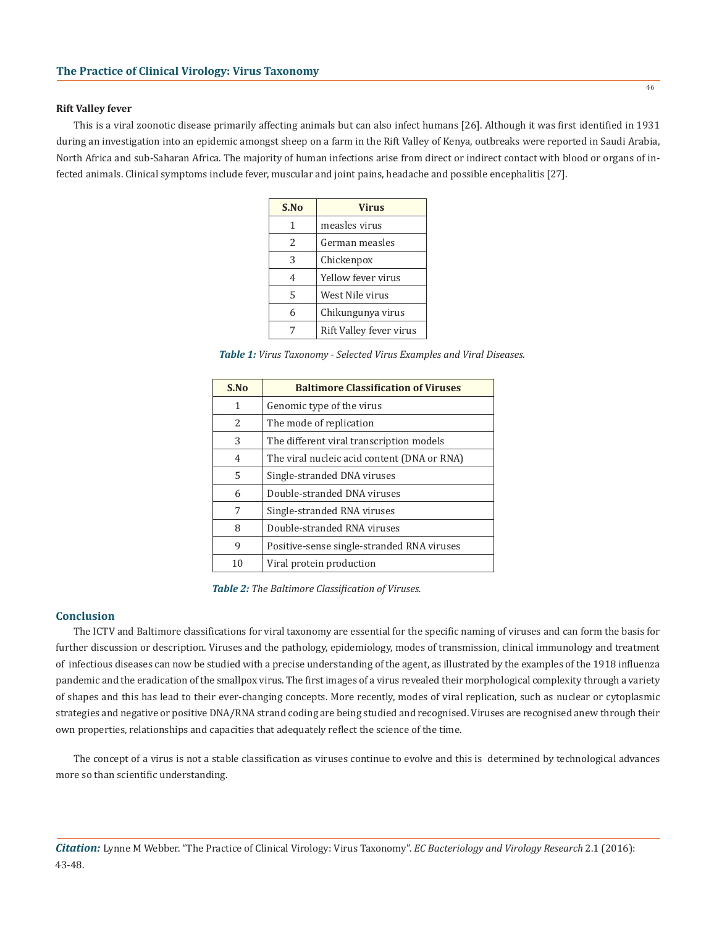#### **Rift Valley fever**

This is a viral zoonotic disease primarily affecting animals but can also infect humans [26]. Although it was first identified in 1931 during an investigation into an epidemic amongst sheep on a farm in the Rift Valley of Kenya, outbreaks were reported in Saudi Arabia, North Africa and sub-Saharan Africa. The majority of human infections arise from direct or indirect contact with blood or organs of infected animals. Clinical symptoms include fever, muscular and joint pains, headache and possible encephalitis [27].

| S.No | <b>Virus</b>            |
|------|-------------------------|
| 1    | measles virus           |
| 2    | German measles          |
| 3    | Chickenpox              |
| 4    | Yellow fever virus      |
| 5    | West Nile virus         |
| 6    | Chikungunya virus       |
|      | Rift Valley fever virus |

*Table 1: Virus Taxonomy - Selected Virus Examples and Viral Diseases.*

| S.No          | <b>Baltimore Classification of Viruses</b>  |
|---------------|---------------------------------------------|
| 1             | Genomic type of the virus                   |
| $\mathcal{L}$ | The mode of replication                     |
| 3             | The different viral transcription models    |
| 4             | The viral nucleic acid content (DNA or RNA) |
| 5             | Single-stranded DNA viruses                 |
| 6             | Double-stranded DNA viruses                 |
| 7             | Single-stranded RNA viruses                 |
| 8             | Double-stranded RNA viruses                 |
| 9             | Positive-sense single-stranded RNA viruses  |
| 10            | Viral protein production                    |

*Table 2: The Baltimore Classification of Viruses.*

#### **Conclusion**

The ICTV and Baltimore classifications for viral taxonomy are essential for the specific naming of viruses and can form the basis for further discussion or description. Viruses and the pathology, epidemiology, modes of transmission, clinical immunology and treatment of infectious diseases can now be studied with a precise understanding of the agent, as illustrated by the examples of the 1918 influenza pandemic and the eradication of the smallpox virus. The first images of a virus revealed their morphological complexity through a variety of shapes and this has lead to their ever-changing concepts. More recently, modes of viral replication, such as nuclear or cytoplasmic strategies and negative or positive DNA/RNA strand coding are being studied and recognised. Viruses are recognised anew through their own properties, relationships and capacities that adequately reflect the science of the time.

The concept of a virus is not a stable classification as viruses continue to evolve and this is determined by technological advances more so than scientific understanding.

*Citation:* Lynne M Webber. "The Practice of Clinical Virology: Virus Taxonomy". *EC Bacteriology and Virology Research* 2.1 (2016): 43-48.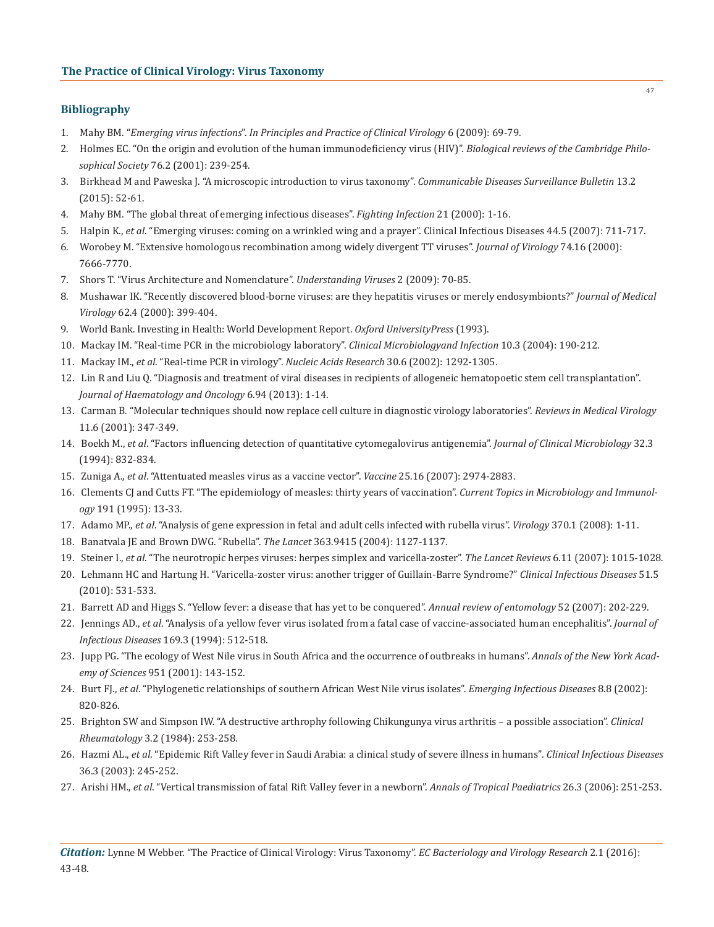# **Bibliography**

- 1. Mahy BM. "*Emerging virus infections*". *In Principles and Practice of Clinical Virology* 6 (2009): 69-79.
- 2. Holmes EC. "On the origin and evolution of the human immunodeficiency virus (HIV)". *Biological reviews of the Cambridge Philo sophical Society* 76.2 (2001): 239-254.
- 3. Birkhead M and Paweska J. "A microscopic introduction to virus taxonomy". *Communicable Diseases Surveillance Bulletin* 13.2 (2015): 52-61.
- 4. Mahy BM. "The global threat of emerging infectious diseases". *Fighting Infection* 21 (2000): 1-16.
- 5. Halpin K., *et al*. "Emerging viruses: coming on a wrinkled wing and a prayer". Clinical Infectious Diseases 44.5 (2007): 711-717.
- 6. Worobey M. "Extensive homologous recombination among widely divergent TT viruses". *Journal of Virology* 74.16 (2000): 7666-7770.
- 7. Shors T. "Virus Architecture and Nomenclature". *Understanding Viruses* 2 (2009): 70-85.
- 8. Mushawar IK. "Recently discovered blood-borne viruses: are they hepatitis viruses or merely endosymbionts?" *Journal of Medical Virology* 62.4 (2000): 399-404.
- 9. World Bank. Investing in Health: World Development Report. *Oxford UniversityPress* (1993).
- 10. Mackay IM. "Real-time PCR in the microbiology laboratory". *Clinical Microbiologyand Infection* 10.3 (2004): 190-212.
- 11. Mackay IM., *et al*. "Real-time PCR in virology". *Nucleic Acids Research* 30.6 (2002): 1292-1305.
- 12. Lin R and Liu Q. "Diagnosis and treatment of viral diseases in recipients of allogeneic hematopoetic stem cell transplantation".  *Journal of Haematology and Oncology* 6.94 (2013): 1-14.
- 13. Carman B. "Molecular techniques should now replace cell culture in diagnostic virology laboratories". *Reviews in Medical Virology* 11.6 (2001): 347-349.
- 14. Boekh M., *et al*. "Factors influencing detection of quantitative cytomegalovirus antigenemia". *Journal of Clinical Microbiology* 32.3 (1994): 832-834.
- 15. Zuniga A., *et al*. "Attentuated measles virus as a vaccine vector". *Vaccine* 25.16 (2007): 2974-2883.
- 16. Clements CJ and Cutts FT. "The epidemiology of measles: thirty years of vaccination". *Current Topics in Microbiology and Immunol ogy* 191 (1995): 13-33.
- 17. Adamo MP., *et al*. "Analysis of gene expression in fetal and adult cells infected with rubella virus". *Virology* 370.1 (2008): 1-11.
- 18. Banatvala JE and Brown DWG. "Rubella". *The Lancet* 363.9415 (2004): 1127-1137.
- 19. Steiner I., *et al*. "The neurotropic herpes viruses: herpes simplex and varicella-zoster". *The Lancet Reviews* 6.11 (2007): 1015-1028.
- 20. Lehmann HC and Hartung H. "Varicella-zoster virus: another trigger of Guillain-Barre Syndrome?" *Clinical Infectious Diseases* 51.5 (2010): 531-533.
- 21. Barrett AD and Higgs S. "Yellow fever: a disease that has yet to be conquered". *Annual review of entomology* 52 (2007): 202-229.
- 22. Jennings AD., *et al*. "Analysis of a yellow fever virus isolated from a fatal case of vaccine-associated human encephalitis". *Journal of Infectious Diseases* 169.3 (1994): 512-518.
- 23. Jupp PG. "The ecology of West Nile virus in South Africa and the occurrence of outbreaks in humans". *Annals of the New York Acad emy of Sciences* 951 (2001): 143-152.
- 24. Burt FJ., *et al*. "Phylogenetic relationships of southern African West Nile virus isolates". *Emerging Infectious Diseases* 8.8 (2002): 820-826.
- 25. Brighton SW and Simpson IW. "A destructive arthrophy following Chikungunya virus arthritis a possible association". *Clinical Rheumatology* 3.2 (1984): 253-258.
- 26. Hazmi AL., *et al*. "Epidemic Rift Valley fever in Saudi Arabia: a clinical study of severe illness in humans"*. Clinical Infectious Diseases* 36.3 (2003): 245-252.
- 27. Arishi HM., *et al*. "Vertical transmission of fatal Rift Valley fever in a newborn". *Annals of Tropical Paediatrics* 26.3 (2006): 251-253.